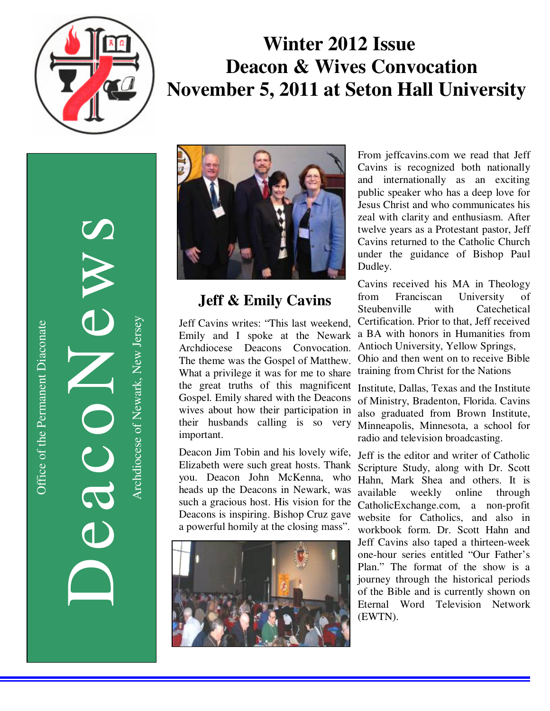

# **Winter 2012 Issue Deacon & Wives Convocation November 5, 2011 at Seton Hall University**

DeacoNews News NEWS Archdiocese of Newark, New Jersey Archdiocese of Newark, New Jersey



# **Jeff & Emily Cavins**

Jeff Cavins writes: "This last weekend, Emily and I spoke at the Newark Archdiocese Deacons Convocation. The theme was the Gospel of Matthew. What a privilege it was for me to share the great truths of this magnificent Gospel. Emily shared with the Deacons wives about how their participation in their husbands calling is so very important.

Deacon Jim Tobin and his lovely wife, Elizabeth were such great hosts. Thank you. Deacon John McKenna, who heads up the Deacons in Newark, was such a gracious host. His vision for the Deacons is inspiring. Bishop Cruz gave a powerful homily at the closing mass".



From jeffcavins.com we read that Jeff Cavins is recognized both nationally and internationally as an exciting public speaker who has a deep love for Jesus Christ and who communicates his zeal with clarity and enthusiasm. After twelve years as a Protestant pastor, Jeff Cavins returned to the Catholic Church under the guidance of Bishop Paul Dudley.

Cavins received his MA in Theology from Franciscan University Steubenville with Catechetical Certification. Prior to that, Jeff received a BA with honors in Humanities from Antioch University, Yellow Springs, Ohio and then went on to receive Bible training from Christ for the Nations

Institute, Dallas, Texas and the Institute of Ministry, Bradenton, Florida. Cavins also graduated from Brown Institute, Minneapolis, Minnesota, a school for radio and television broadcasting.

Jeff is the editor and writer of Catholic Scripture Study, along with Dr. Scott Hahn, Mark Shea and others. It is available weekly online through CatholicExchange.com, a non-profit website for Catholics, and also in workbook form. Dr. Scott Hahn and Jeff Cavins also taped a thirteen-week one-hour series entitled "Our Father's Plan." The format of the show is a journey through the historical periods of the Bible and is currently shown on Eternal Word Television Network (EWTN).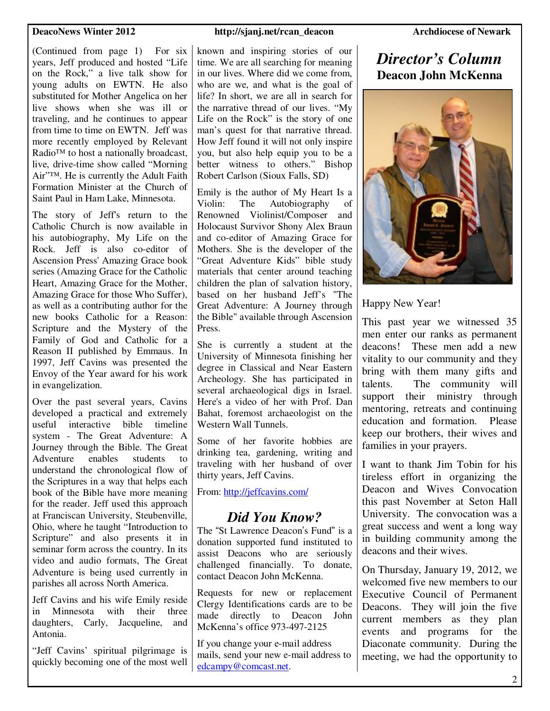(Continued from page 1) For six years, Jeff produced and hosted "Life on the Rock," a live talk show for young adults on EWTN. He also substituted for Mother Angelica on her live shows when she was ill or traveling, and he continues to appear from time to time on EWTN. Jeff was more recently employed by Relevant Radio™ to host a nationally broadcast, live, drive-time show called "Morning Air"™. He is currently the Adult Faith Formation Minister at the Church of Saint Paul in Ham Lake, Minnesota.

The story of Jeff's return to the Catholic Church is now available in his autobiography, My Life on the Rock. Jeff is also co-editor of Ascension Press' Amazing Grace book series (Amazing Grace for the Catholic Heart, Amazing Grace for the Mother, Amazing Grace for those Who Suffer), as well as a contributing author for the new books Catholic for a Reason: Scripture and the Mystery of the Family of God and Catholic for a Reason II published by Emmaus. In 1997, Jeff Cavins was presented the Envoy of the Year award for his work in evangelization.

Over the past several years, Cavins developed a practical and extremely useful interactive bible timeline system - The Great Adventure: A Journey through the Bible. The Great Adventure enables students to understand the chronological flow of the Scriptures in a way that helps each book of the Bible have more meaning for the reader. Jeff used this approach at Franciscan University, Steubenville, Ohio, where he taught "Introduction to Scripture" and also presents it in seminar form across the country. In its video and audio formats, The Great Adventure is being used currently in parishes all across North America.

Jeff Cavins and his wife Emily reside in Minnesota with their three daughters, Carly, Jacqueline, and Antonia.

"Jeff Cavins' spiritual pilgrimage is quickly becoming one of the most well

### **DeacoNews Winter 2012** http://sjanj.net/rcan\_deacon Archdiocese of Newark *Archdiocese of Newark*

known and inspiring stories of our time. We are all searching for meaning in our lives. Where did we come from, who are we, and what is the goal of

man's quest for that narrative thread.

better witness to others." Bishop Robert Carlson (Sioux Falls, SD)

Emily is the author of My Heart Is a Violin: The Autobiography of Renowned Violinist/Composer and Holocaust Survivor Shony Alex Braun

"Great Adventure Kids" bible study materials that center around teaching children the plan of salvation history, based on her husband Jeff's "The Great Adventure: A Journey through the Bible" available through Ascension

She is currently a student at the University of Minnesota finishing her degree in Classical and Near Eastern Archeology. She has participated in several archaeological digs in Israel. Here's a video of her with Prof. Dan Bahat, foremost archaeologist on the

Some of her favorite hobbies are drinking tea, gardening, writing and traveling with her husband of over

*Did You Know?*  The "St Lawrence Deacon's Fund" is a donation supported fund instituted to assist Deacons who are seriously challenged financially. To donate,

Requests for new or replacement Clergy Identifications cards are to be made directly to Deacon John McKenna's office 973-497-2125 If you change your e-mail address mails, send your new e-mail address to

Western Wall Tunnels.

thirty years, Jeff Cavins.

From: http://jeffcavins.com/

contact Deacon John McKenna.

edcampy@comcast.net.

Press.

# *Director's Column*  **Deacon John McKenna**



Happy New Year!

This past year we witnessed 35 men enter our ranks as permanent deacons! These men add a new vitality to our community and they bring with them many gifts and talents. The community will support their ministry through mentoring, retreats and continuing education and formation. Please keep our brothers, their wives and families in your prayers.

I want to thank Jim Tobin for his tireless effort in organizing the Deacon and Wives Convocation this past November at Seton Hall University. The convocation was a great success and went a long way in building community among the deacons and their wives. Ì

On Thursday, January 19, 2012, we welcomed five new members to our Executive Council of Permanent Deacons. They will join the five current members as they plan events and programs for the Diaconate community. During the meeting, we had the opportunity to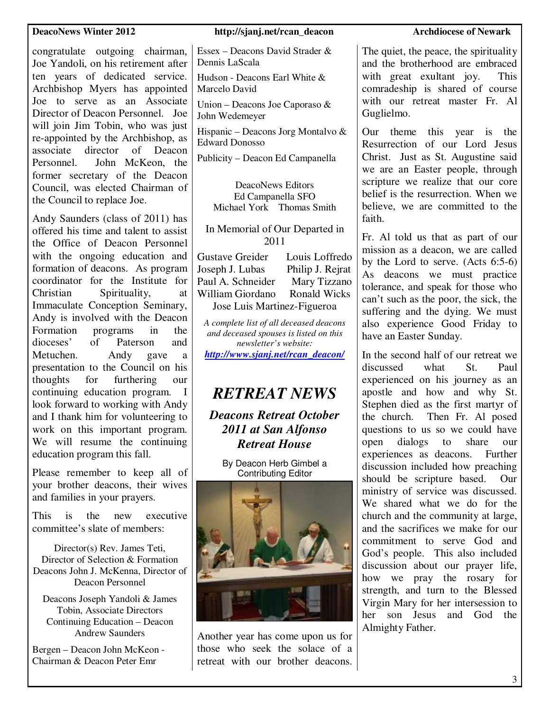### **DeacoNews Winter 2012** http://sjanj.net/rcan\_deacon Archdiocese of Newark *Archdiocese of Newark*

congratulate outgoing chairman, Joe Yandoli, on his retirement after ten years of dedicated service. Archbishop Myers has appointed Joe to serve as an Associate Director of Deacon Personnel. Joe will join Jim Tobin, who was just re-appointed by the Archbishop, as associate director of Deacon Personnel. John McKeon, the former secretary of the Deacon Council, was elected Chairman of the Council to replace Joe.

Andy Saunders (class of 2011) has offered his time and talent to assist the Office of Deacon Personnel with the ongoing education and formation of deacons. As program coordinator for the Institute for<br>Christian Spirituality, at Spirituality, at Immaculate Conception Seminary, Andy is involved with the Deacon Formation programs in the dioceses' of Paterson and Metuchen. Andy gave a presentation to the Council on his thoughts for furthering our continuing education program. I look forward to working with Andy and I thank him for volunteering to work on this important program. We will resume the continuing education program this fall.

Please remember to keep all of your brother deacons, their wives and families in your prayers.

This is the new executive committee's slate of members:

Director(s) Rev. James Teti, Director of Selection & Formation Deacons John J. McKenna, Director of Deacon Personnel

Deacons Joseph Yandoli & James Tobin, Associate Directors Continuing Education – Deacon Andrew Saunders

Bergen – Deacon John McKeon - Chairman & Deacon Peter Emr

Essex – Deacons David Strader & Dennis LaScala

Hudson - Deacons Earl White & Marcelo David

Union – Deacons Joe Caporaso & John Wedemeyer

Hispanic – Deacons Jorg Montalvo & Edward Donosso

Publicity – Deacon Ed Campanella

DeacoNews Editors Ed Campanella SFO Michael York Thomas Smith

In Memorial of Our Departed in 2011

Gustave Greider Louis Loffredo Joseph J. Lubas Philip J. Rejrat Paul A. Schneider Mary Tizzano William Giordano Ronald Wicks Jose Luis Martinez-Figueroa

*A complete list of all deceased deacons and deceased spouses is listed on this newsletter's website: http://www.sjanj.net/rcan\_deacon/* 

# *RETREAT NEWS*

*Deacons Retreat October 2011 at San Alfonso Retreat House* 

> By Deacon Herb Gimbel a Contributing Editor



Another year has come upon us for those who seek the solace of a retreat with our brother deacons.

The quiet, the peace, the spirituality and the brotherhood are embraced with great exultant joy. This comradeship is shared of course with our retreat master Fr. Al Guglielmo.

Our theme this year is the Resurrection of our Lord Jesus Christ. Just as St. Augustine said we are an Easter people, through scripture we realize that our core belief is the resurrection. When we believe, we are committed to the faith.

Fr. Al told us that as part of our mission as a deacon, we are called by the Lord to serve. (Acts 6:5-6) As deacons we must practice tolerance, and speak for those who can't such as the poor, the sick, the suffering and the dying. We must also experience Good Friday to have an Easter Sunday.

In the second half of our retreat we discussed what St. Paul experienced on his journey as an apostle and how and why St. Stephen died as the first martyr of the church. Then Fr. Al posed questions to us so we could have open dialogs to share our experiences as deacons. Further discussion included how preaching should be scripture based. Our ministry of service was discussed. We shared what we do for the church and the community at large, and the sacrifices we make for our commitment to serve God and God's people. This also included discussion about our prayer life, how we pray the rosary for strength, and turn to the Blessed Virgin Mary for her intersession to her son Jesus and God the Almighty Father.